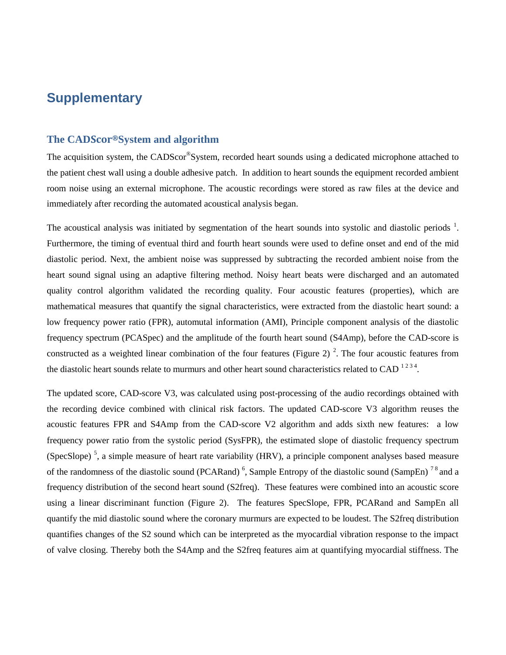## **Supplementary**

#### **The CADScor®System and algorithm**

The acquisition system, the CADScor®System, recorded heart sounds using a dedicated microphone attached to the patient chest wall using a double adhesive patch. In addition to heart sounds the equipment recorded ambient room noise using an external microphone. The acoustic recordings were stored as raw files at the device and immediately after recording the automated acoustical analysis began.

The acoustical analysis was initiated by segmentation of the heart sounds into systolic and diastolic periods  $1$ . Furthermore, the timing of eventual third and fourth heart sounds were used to define onset and end of the mid diastolic period. Next, the ambient noise was suppressed by subtracting the recorded ambient noise from the heart sound signal using an adaptive filtering method. Noisy heart beats were discharged and an automated quality control algorithm validated the recording quality. Four acoustic features (properties), which are mathematical measures that quantify the signal characteristics, were extracted from the diastolic heart sound: a low frequency power ratio (FPR), automutal information (AMI), Principle component analysis of the diastolic frequency spectrum (PCASpec) and the amplitude of the fourth heart sound (S4Amp), before the CAD-score is constructed as a weighted linear combination of the four features (Figure 2)<sup>2</sup>. The four acoustic features from the diastolic heart sounds relate to murmurs and other heart sound characteristics related to CAD  $^{1234}$ .

The updated score, CAD-score V3, was calculated using post-processing of the audio recordings obtained with the recording device combined with clinical risk factors. The updated CAD-score V3 algorithm reuses the acoustic features FPR and S4Amp from the CAD-score V2 algorithm and adds sixth new features: a low frequency power ratio from the systolic period (SysFPR), the estimated slope of diastolic frequency spectrum (SpecSlope)<sup>5</sup>, a simple measure of heart rate variability (HRV), a principle component analyses based measure of the randomness of the diastolic sound (PCARand)<sup>6</sup>, Sample Entropy of the diastolic sound (SampEn)<sup>78</sup> and a frequency distribution of the second heart sound (S2freq). These features were combined into an acoustic score using a linear discriminant function (Figure 2). The features SpecSlope, FPR, PCARand and SampEn all quantify the mid diastolic sound where the coronary murmurs are expected to be loudest. The S2freq distribution quantifies changes of the S2 sound which can be interpreted as the myocardial vibration response to the impact of valve closing. Thereby both the S4Amp and the S2freq features aim at quantifying myocardial stiffness. The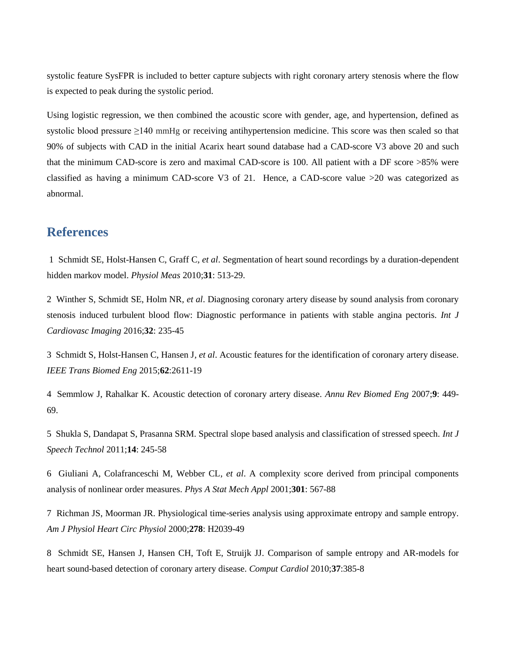systolic feature SysFPR is included to better capture subjects with right coronary artery stenosis where the flow is expected to peak during the systolic period.

Using logistic regression, we then combined the acoustic score with gender, age, and hypertension, defined as systolic blood pressure ≥140 mmHg or receiving antihypertension medicine. This score was then scaled so that 90% of subjects with CAD in the initial Acarix heart sound database had a CAD-score V3 above 20 and such that the minimum CAD-score is zero and maximal CAD-score is 100. All patient with a DF score >85% were classified as having a minimum CAD-score V3 of 21. Hence, a CAD-score value >20 was categorized as abnormal.

### **References**

1 Schmidt SE, Holst-Hansen C, Graff C*, et al*. Segmentation of heart sound recordings by a duration-dependent hidden markov model. *Physiol Meas* 2010;**31**: 513-29.

2 Winther S, Schmidt SE, Holm NR*, et al*. Diagnosing coronary artery disease by sound analysis from coronary stenosis induced turbulent blood flow: Diagnostic performance in patients with stable angina pectoris. *Int J Cardiovasc Imaging* 2016;**32**: 235-45

3 Schmidt S, Holst-Hansen C, Hansen J*, et al*. Acoustic features for the identification of coronary artery disease. *IEEE Trans Biomed Eng* 2015;**62**:2611-19

4 Semmlow J, Rahalkar K. Acoustic detection of coronary artery disease. *Annu Rev Biomed Eng* 2007;**9**: 449- 69.

5 Shukla S, Dandapat S, Prasanna SRM. Spectral slope based analysis and classification of stressed speech. *Int J Speech Technol* 2011;**14**: 245-58

6 Giuliani A, Colafranceschi M, Webber CL*, et al*. A complexity score derived from principal components analysis of nonlinear order measures. *Phys A Stat Mech Appl* 2001;**301**: 567-88

7 Richman JS, Moorman JR. Physiological time-series analysis using approximate entropy and sample entropy. *Am J Physiol Heart Circ Physiol* 2000;**278**: H2039-49

8 Schmidt SE, Hansen J, Hansen CH, Toft E, Struijk JJ. Comparison of sample entropy and AR-models for heart sound-based detection of coronary artery disease. *Comput Cardiol* 2010;**37**:385-8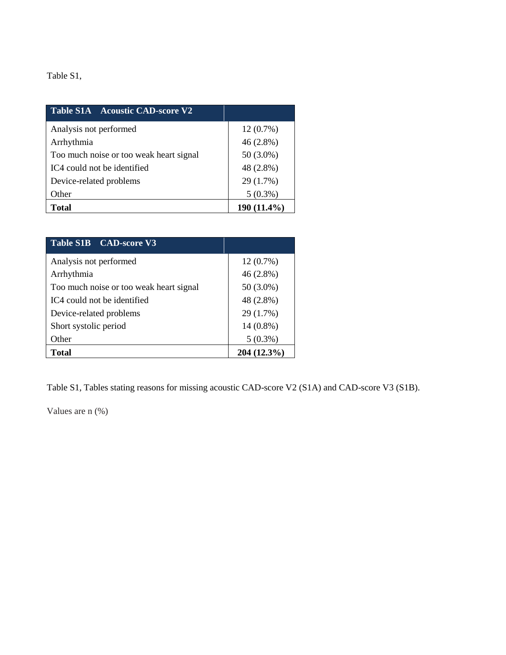#### Table S1,

| Table S1A Acoustic CAD-score V2         |             |
|-----------------------------------------|-------------|
| Analysis not performed                  | $12(0.7\%)$ |
| Arrhythmia                              | $46(2.8\%)$ |
| Too much noise or too weak heart signal | $50(3.0\%)$ |
| IC4 could not be identified             | 48 (2.8%)   |
| Device-related problems                 | 29 (1.7%)   |
| Other                                   | $5(0.3\%)$  |
| Total                                   | 190 (11.4%) |

| Table S1B CAD-score V3                  |             |  |  |
|-----------------------------------------|-------------|--|--|
| Analysis not performed                  | $12(0.7\%)$ |  |  |
| Arrhythmia                              | 46 (2.8%)   |  |  |
| Too much noise or too weak heart signal | 50 (3.0%)   |  |  |
| IC4 could not be identified             | 48 (2.8%)   |  |  |
| Device-related problems                 | 29 (1.7%)   |  |  |
| Short systolic period                   | $14(0.8\%)$ |  |  |
| Other                                   | $5(0.3\%)$  |  |  |
| <b>Total</b>                            | 204 (12.3%) |  |  |

Table S1, Tables stating reasons for missing acoustic CAD-score V2 (S1A) and CAD-score V3 (S1B).

Values are n (%)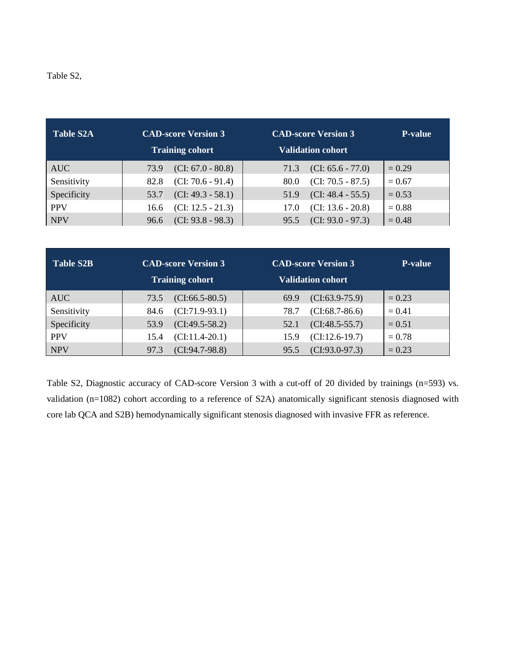#### Table S2,

| <b>Table S2A</b> | <b>CAD-score Version 3</b><br><b>Training cohort</b> |                     | <b>CAD-score Version 3</b><br><b>Validation cohort</b> |                     | <b>P-value</b> |
|------------------|------------------------------------------------------|---------------------|--------------------------------------------------------|---------------------|----------------|
| <b>AUC</b>       | 73.9                                                 | $(CI: 67.0 - 80.8)$ | 71.3                                                   | $(CI: 65.6 - 77.0)$ | $= 0.29$       |
| Sensitivity      | 82.8                                                 | $(CI: 70.6 - 91.4)$ | 80.0                                                   | $(CI: 70.5 - 87.5)$ | $= 0.67$       |
| Specificity      | 53.7                                                 | $(CI: 49.3 - 58.1)$ | 51.9                                                   | $(CI: 48.4 - 55.5)$ | $= 0.53$       |
| <b>PPV</b>       | 16.6                                                 | $(CI: 12.5 - 21.3)$ | 17.0                                                   | $(CI: 13.6 - 20.8)$ | $= 0.88$       |
| <b>NPV</b>       | 96.6                                                 | $(CI: 93.8 - 98.3)$ | 95.5                                                   | $(CI: 93.0 - 97.3)$ | $= 0.48$       |

| <b>Table S2B</b> | <b>CAD-score Version 3</b><br><b>Training cohort</b> |                     | <b>CAD-score Version 3</b><br><b>Validation cohort</b> |                   | <b>P-value</b> |
|------------------|------------------------------------------------------|---------------------|--------------------------------------------------------|-------------------|----------------|
| <b>AUC</b>       | 73.5                                                 | $(CI: 66.5 - 80.5)$ | 69.9                                                   | $(CI: 63.9-75.9)$ | $= 0.23$       |
| Sensitivity      | 84.6                                                 | $(CI:71.9-93.1)$    | 78.7                                                   | $(CI:68.7-86.6)$  | $= 0.41$       |
| Specificity      | 53.9                                                 | $(CI:49.5-58.2)$    | 52.1                                                   | $(CI:48.5-55.7)$  | $= 0.51$       |
| <b>PPV</b>       | 15.4                                                 | $(CI: 11.4-20.1)$   | 15.9                                                   | $(CI:12.6-19.7)$  | $= 0.78$       |
| <b>NPV</b>       | 97.3                                                 | $(CI:94.7-98.8)$    | 95.5                                                   | $(CI:93.0-97.3)$  | $= 0.23$       |

Table S2, Diagnostic accuracy of CAD-score Version 3 with a cut-off of 20 divided by trainings (n=593) vs. validation (n=1082) cohort according to a reference of S2A) anatomically significant stenosis diagnosed with core lab QCA and S2B) hemodynamically significant stenosis diagnosed with invasive FFR as reference.